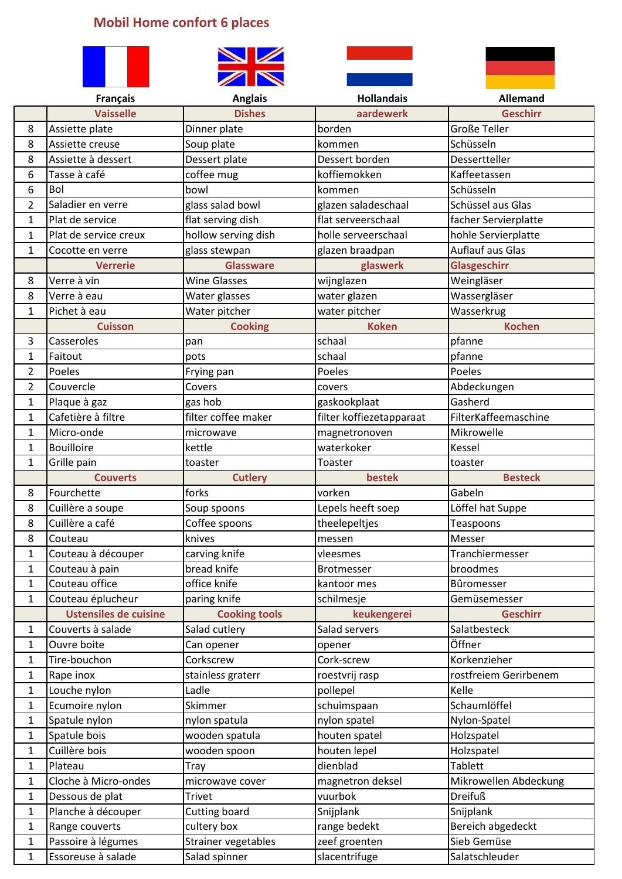## **Mobil Home confort 6 places**



|                | <b>Français</b>              | <b>Anglais</b>       | <b>Hollandais</b>        | <b>Allemand</b>         |
|----------------|------------------------------|----------------------|--------------------------|-------------------------|
|                | <b>Vaisselle</b>             | <b>Dishes</b>        | aardewerk                | <b>Geschirr</b>         |
| 8              | Assiette plate               | Dinner plate         | borden                   | <b>Große Teller</b>     |
| 8              | Assiette creuse              | Soup plate           | kommen                   | Schüsseln               |
| 8              | Assiette à dessert           | Dessert plate        | Dessert borden           | Dessertteller           |
| 6              | Tasse à café                 | coffee mug           | koffiemokken             | Kaffeetassen            |
| 6              | Bol                          | bowl                 | kommen                   | Schüsseln               |
| $\overline{2}$ | Saladier en verre            | glass salad bowl     | glazen saladeschaal      | Schüssel aus Glas       |
| $\mathbf{1}$   | Plat de service              | flat serving dish    | flat serveerschaal       | facher Servierplatte    |
| $\mathbf{1}$   | Plat de service creux        | hollow serving dish  | holle serveerschaal      | hohle Servierplatte     |
| $\mathbf{1}$   | Cocotte en verre             | glass stewpan        | glazen braadpan          | <b>Auflauf aus Glas</b> |
|                | <b>Verrerie</b>              | <b>Glassware</b>     | glaswerk                 | Glasgeschirr            |
| 8              | Verre à vin                  | <b>Wine Glasses</b>  | wijnglazen               | Weingläser              |
| 8              | Verre à eau                  | Water glasses        | water glazen             | Wassergläser            |
| $\mathbf{1}$   | Pichet à eau                 | Water pitcher        | water pitcher            | Wasserkrug              |
|                | <b>Cuisson</b>               | <b>Cooking</b>       | <b>Koken</b>             | <b>Kochen</b>           |
| 3              | Casseroles                   | pan                  | schaal                   | pfanne                  |
| $\mathbf{1}$   | Faitout                      | pots                 | schaal                   | pfanne                  |
| 2              | Poeles                       | Frying pan           | Poeles                   | Poeles                  |
| 2              | Couvercle                    | Covers               | covers                   | Abdeckungen             |
| $\mathbf{1}$   | Plaque à gaz                 | gas hob              | gaskookplaat             | Gasherd                 |
| $\mathbf{1}$   | Cafetière à filtre           | filter coffee maker  | filter koffiezetapparaat | FilterKaffeemaschine    |
| $\mathbf{1}$   | Micro-onde                   | microwave            | magnetronoven            | Mikrowelle              |
| $\mathbf{1}$   | <b>Bouilloire</b>            | kettle               | waterkoker               | Kessel                  |
| $\mathbf{1}$   | Grille pain                  | toaster              | Toaster                  | toaster                 |
|                | <b>Couverts</b>              | <b>Cutlery</b>       | bestek                   | <b>Besteck</b>          |
| 8              | Fourchette                   | forks                | vorken                   | Gabeln                  |
| 8              | Cuillère a soupe             | Soup spoons          | Lepels heeft soep        | Löffel hat Suppe        |
| 8              | Cuillère a café              | Coffee spoons        | theelepeltjes            | Teaspoons               |
| 8              | Couteau                      | knives               | messen                   | Messer                  |
| $\mathbf 1$    | Couteau à découper           | carving knife        | vleesmes                 | Tranchiermesser         |
| 1              | Couteau à pain               | bread knife          | Brotmesser               | broodmes                |
| $\mathbf{1}$   | Couteau office               | office knife         | kantoor mes              | Bûromesser              |
| $\mathbf{1}$   | Couteau éplucheur            | paring knife         | schilmesje               | Gemüsemesser            |
|                | <b>Ustensiles de cuisine</b> | <b>Cooking tools</b> | keukengerei              | <b>Geschirr</b>         |
| 1              | Couverts à salade            | Salad cutlery        | Salad servers            | Salatbesteck            |
| 1              | Ouvre boite                  | Can opener           | opener                   | Öffner                  |
| $\mathbf{1}$   | Tire-bouchon                 | Corkscrew            | Cork-screw               | Korkenzieher            |
| 1              | Rape inox                    | stainless graterr    | roestvrij rasp           | rostfreiem Gerirbenem   |
| 1              | Louche nylon                 | Ladle                | pollepel                 | Kelle                   |
| $\mathbf{1}$   | Ecumoire nylon               | Skimmer              | schuimspaan              | Schaumlöffel            |
| 1              | Spatule nylon                | nylon spatula        | nylon spatel             | Nylon-Spatel            |
| $\mathbf{1}$   | Spatule bois                 | wooden spatula       | houten spatel            | Holzspatel              |
| $\mathbf{1}$   | Cuillère bois                | wooden spoon         | houten lepel             | Holzspatel              |
| 1              | Plateau                      | Tray                 | dienblad                 | <b>Tablett</b>          |
| 1              | Cloche à Micro-ondes         | microwave cover      | magnetron deksel         | Mikrowellen Abdeckung   |
| $\mathbf{1}$   | Dessous de plat              | <b>Trivet</b>        | vuurbok                  | <b>Dreifuß</b>          |
| 1              | Planche à découper           | Cutting board        | Snijplank                | Snijplank               |
| 1              | Range couverts               | cultery box          | range bedekt             | Bereich abgedeckt       |
| $\mathbf{1}$   | Passoire à légumes           | Strainer vegetables  | zeef groenten            | Sieb Gemüse             |
| $\mathbf{1}$   | Essoreuse à salade           | Salad spinner        | slacentrifuge            | Salatschleuder          |
|                |                              |                      |                          |                         |